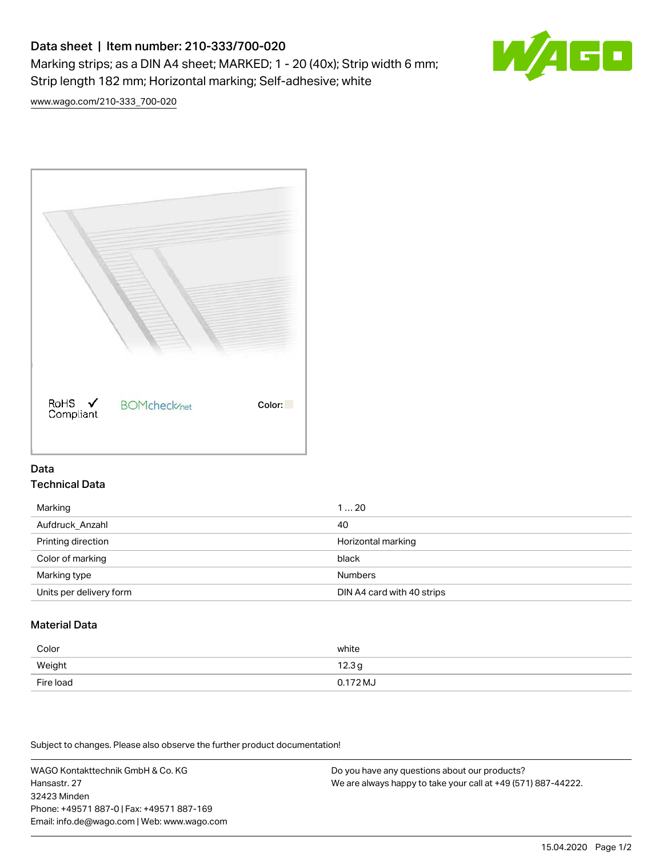# Data sheet | Item number: 210-333/700-020 Marking strips; as a DIN A4 sheet; MARKED; 1 - 20 (40x); Strip width 6 mm; Strip length 182 mm; Horizontal marking; Self-adhesive; white



[www.wago.com/210-333\\_700-020](http://www.wago.com/210-333_700-020)



## Data Technical Data

| Marking                 | 120                        |
|-------------------------|----------------------------|
| Aufdruck_Anzahl         | 40                         |
| Printing direction      | Horizontal marking         |
| Color of marking        | black                      |
| Marking type            | <b>Numbers</b>             |
| Units per delivery form | DIN A4 card with 40 strips |

# Material Data

| Color     | white               |
|-----------|---------------------|
| Weight    | 12.3g               |
| Fire load | $0.172 \mathrm{MJ}$ |

Subject to changes. Please also observe the further product documentation!

WAGO Kontakttechnik GmbH & Co. KG Hansastr. 27 32423 Minden Phone: +49571 887-0 | Fax: +49571 887-169 Email: info.de@wago.com | Web: www.wago.com

Do you have any questions about our products? We are always happy to take your call at +49 (571) 887-44222.